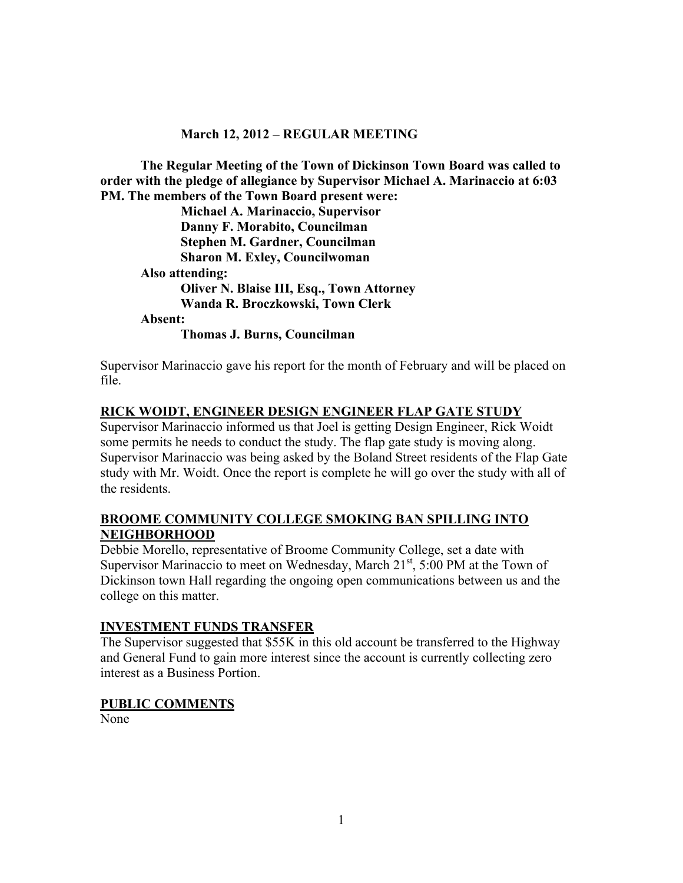### **March 12, 2012 – REGULAR MEETING**

**The Regular Meeting of the Town of Dickinson Town Board was called to order with the pledge of allegiance by Supervisor Michael A. Marinaccio at 6:03 PM. The members of the Town Board present were:**

**Michael A. Marinaccio, Supervisor Danny F. Morabito, Councilman Stephen M. Gardner, Councilman Sharon M. Exley, Councilwoman Also attending: Oliver N. Blaise III, Esq., Town Attorney Wanda R. Broczkowski, Town Clerk Absent: Thomas J. Burns, Councilman**

Supervisor Marinaccio gave his report for the month of February and will be placed on file.

### **RICK WOIDT, ENGINEER DESIGN ENGINEER FLAP GATE STUDY**

Supervisor Marinaccio informed us that Joel is getting Design Engineer, Rick Woidt some permits he needs to conduct the study. The flap gate study is moving along. Supervisor Marinaccio was being asked by the Boland Street residents of the Flap Gate study with Mr. Woidt. Once the report is complete he will go over the study with all of the residents.

### **BROOME COMMUNITY COLLEGE SMOKING BAN SPILLING INTO NEIGHBORHOOD**

Debbie Morello, representative of Broome Community College, set a date with Supervisor Marinaccio to meet on Wednesday, March  $21<sup>st</sup>$ , 5:00 PM at the Town of Dickinson town Hall regarding the ongoing open communications between us and the college on this matter.

#### **INVESTMENT FUNDS TRANSFER**

The Supervisor suggested that \$55K in this old account be transferred to the Highway and General Fund to gain more interest since the account is currently collecting zero interest as a Business Portion.

#### **PUBLIC COMMENTS**

None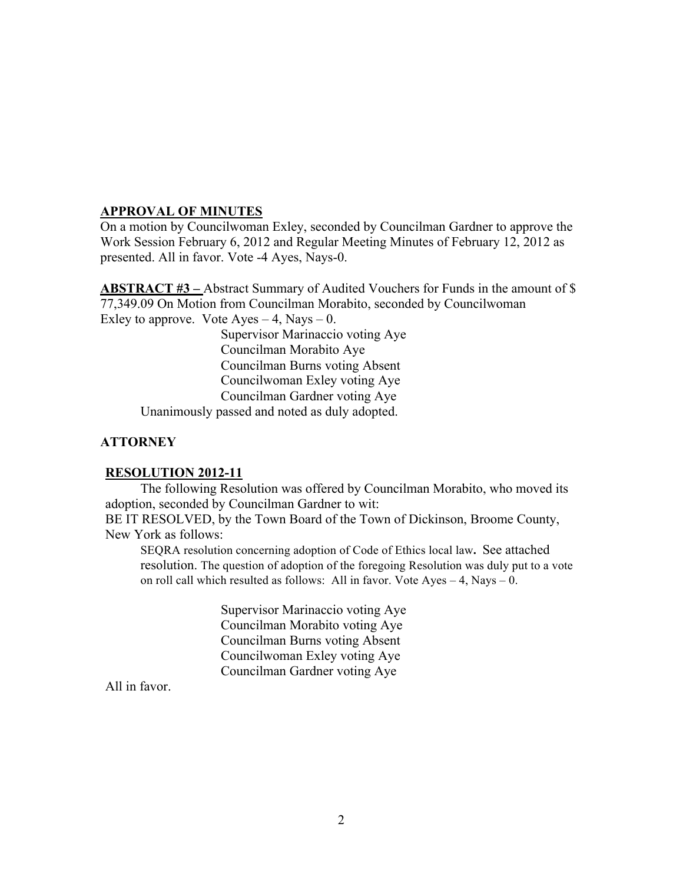## **APPROVAL OF MINUTES**

On a motion by Councilwoman Exley, seconded by Councilman Gardner to approve the Work Session February 6, 2012 and Regular Meeting Minutes of February 12, 2012 as presented. All in favor. Vote -4 Ayes, Nays-0.

**ABSTRACT #3 –** Abstract Summary of Audited Vouchers for Funds in the amount of \$ 77,349.09 On Motion from Councilman Morabito, seconded by Councilwoman Exley to approve. Vote  $Ayes - 4$ , Nays  $- 0$ .

Supervisor Marinaccio voting Aye Councilman Morabito Aye Councilman Burns voting Absent Councilwoman Exley voting Aye Councilman Gardner voting Aye

Unanimously passed and noted as duly adopted.

# **ATTORNEY**

## **RESOLUTION 2012-11**

The following Resolution was offered by Councilman Morabito, who moved its adoption, seconded by Councilman Gardner to wit:

BE IT RESOLVED, by the Town Board of the Town of Dickinson, Broome County, New York as follows:

SEQRA resolution concerning adoption of Code of Ethics local law**.** See attached resolution. The question of adoption of the foregoing Resolution was duly put to a vote on roll call which resulted as follows: All in favor. Vote Ayes – 4, Nays – 0.

> Supervisor Marinaccio voting Aye Councilman Morabito voting Aye Councilman Burns voting Absent Councilwoman Exley voting Aye Councilman Gardner voting Aye

All in favor.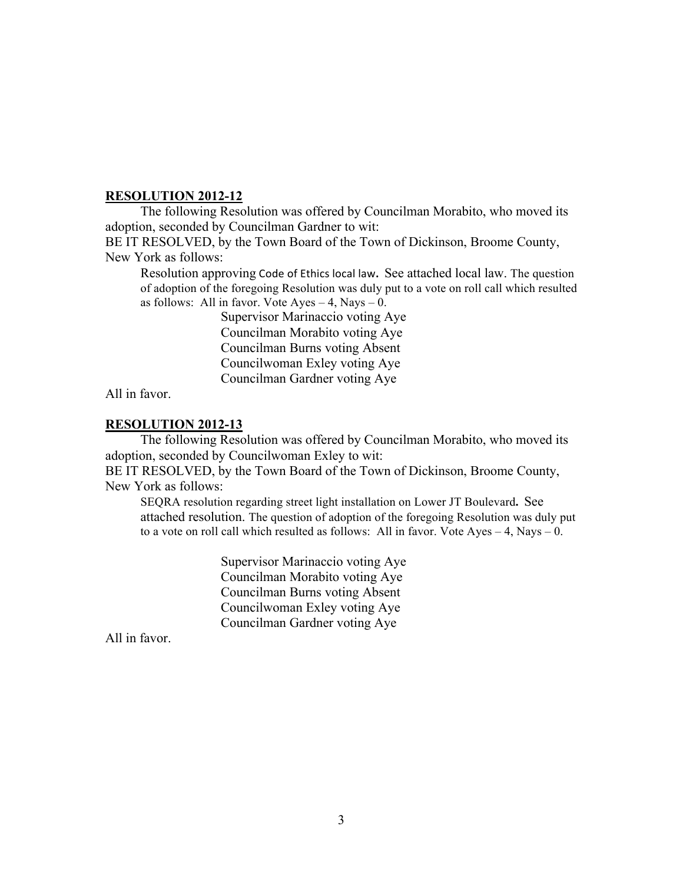## **RESOLUTION 2012-12**

The following Resolution was offered by Councilman Morabito, who moved its adoption, seconded by Councilman Gardner to wit:

BE IT RESOLVED, by the Town Board of the Town of Dickinson, Broome County, New York as follows:

Resolution approving Code of Ethics local law. See attached local law. The question of adoption of the foregoing Resolution was duly put to a vote on roll call which resulted as follows: All in favor. Vote  $A$ yes  $-4$ , Nays  $-0$ .

> Supervisor Marinaccio voting Aye Councilman Morabito voting Aye Councilman Burns voting Absent Councilwoman Exley voting Aye Councilman Gardner voting Aye

All in favor.

### **RESOLUTION 2012-13**

The following Resolution was offered by Councilman Morabito, who moved its adoption, seconded by Councilwoman Exley to wit:

BE IT RESOLVED, by the Town Board of the Town of Dickinson, Broome County, New York as follows:

SEQRA resolution regarding street light installation on Lower JT Boulevard**.** See attached resolution. The question of adoption of the foregoing Resolution was duly put to a vote on roll call which resulted as follows: All in favor. Vote Ayes  $-4$ , Nays  $-0$ .

> Supervisor Marinaccio voting Aye Councilman Morabito voting Aye Councilman Burns voting Absent Councilwoman Exley voting Aye Councilman Gardner voting Aye

All in favor.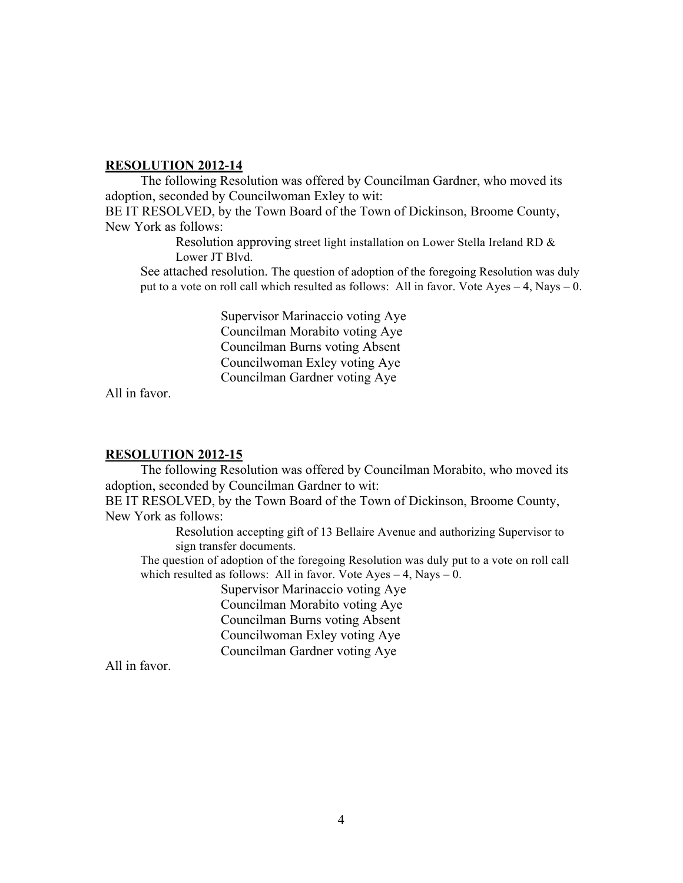#### **RESOLUTION 2012-14**

The following Resolution was offered by Councilman Gardner, who moved its adoption, seconded by Councilwoman Exley to wit:

BE IT RESOLVED, by the Town Board of the Town of Dickinson, Broome County, New York as follows:

> Resolution approving street light installation on Lower Stella Ireland RD & Lower JT Blvd.

See attached resolution. The question of adoption of the foregoing Resolution was duly put to a vote on roll call which resulted as follows: All in favor. Vote Ayes  $-4$ , Nays  $-0$ .

> Supervisor Marinaccio voting Aye Councilman Morabito voting Aye Councilman Burns voting Absent Councilwoman Exley voting Aye Councilman Gardner voting Aye

All in favor.

#### **RESOLUTION 2012-15**

The following Resolution was offered by Councilman Morabito, who moved its adoption, seconded by Councilman Gardner to wit:

BE IT RESOLVED, by the Town Board of the Town of Dickinson, Broome County, New York as follows:

> Resolution accepting gift of 13 Bellaire Avenue and authorizing Supervisor to sign transfer documents.

The question of adoption of the foregoing Resolution was duly put to a vote on roll call which resulted as follows: All in favor. Vote  $Ayes - 4$ , Nays  $- 0$ .

> Supervisor Marinaccio voting Aye Councilman Morabito voting Aye Councilman Burns voting Absent Councilwoman Exley voting Aye Councilman Gardner voting Aye

All in favor.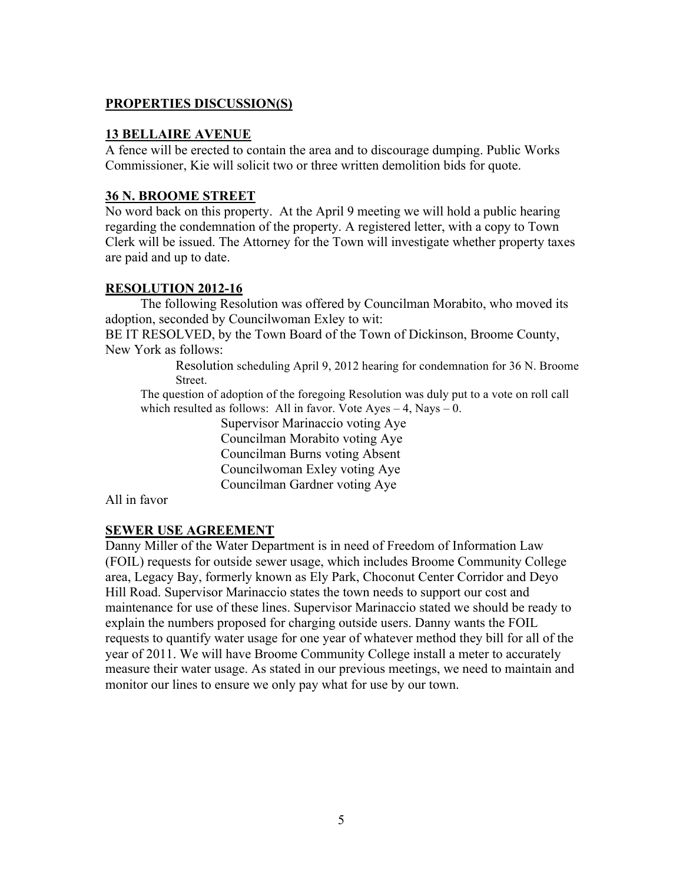# **PROPERTIES DISCUSSION(S)**

### **13 BELLAIRE AVENUE**

A fence will be erected to contain the area and to discourage dumping. Public Works Commissioner, Kie will solicit two or three written demolition bids for quote.

## **36 N. BROOME STREET**

No word back on this property. At the April 9 meeting we will hold a public hearing regarding the condemnation of the property. A registered letter, with a copy to Town Clerk will be issued. The Attorney for the Town will investigate whether property taxes are paid and up to date.

# **RESOLUTION 2012-16**

The following Resolution was offered by Councilman Morabito, who moved its adoption, seconded by Councilwoman Exley to wit:

BE IT RESOLVED, by the Town Board of the Town of Dickinson, Broome County, New York as follows:

> Resolution scheduling April 9, 2012 hearing for condemnation for 36 N. Broome Street.

The question of adoption of the foregoing Resolution was duly put to a vote on roll call which resulted as follows: All in favor. Vote Ayes  $-4$ , Nays  $-0$ .

> Supervisor Marinaccio voting Aye Councilman Morabito voting Aye Councilman Burns voting Absent Councilwoman Exley voting Aye Councilman Gardner voting Aye

All in favor

# **SEWER USE AGREEMENT**

Danny Miller of the Water Department is in need of Freedom of Information Law (FOIL) requests for outside sewer usage, which includes Broome Community College area, Legacy Bay, formerly known as Ely Park, Choconut Center Corridor and Deyo Hill Road. Supervisor Marinaccio states the town needs to support our cost and maintenance for use of these lines. Supervisor Marinaccio stated we should be ready to explain the numbers proposed for charging outside users. Danny wants the FOIL requests to quantify water usage for one year of whatever method they bill for all of the year of 2011. We will have Broome Community College install a meter to accurately measure their water usage. As stated in our previous meetings, we need to maintain and monitor our lines to ensure we only pay what for use by our town.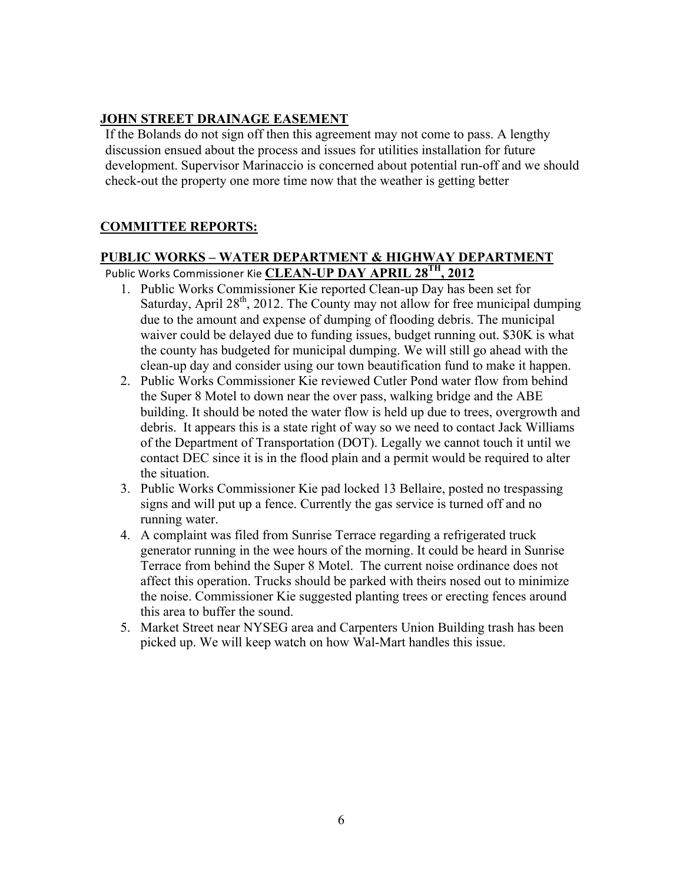# **JOHN STREET DRAINAGE EASEMENT**

If the Bolands do not sign off then this agreement may not come to pass. A lengthy discussion ensued about the process and issues for utilities installation for future development. Supervisor Marinaccio is concerned about potential run-off and we should check-out the property one more time now that the weather is getting better

# **COMMITTEE REPORTS:**

# **PUBLIC WORKS – WATER DEPARTMENT & HIGHWAY DEPARTMENT** Public Works Commissioner Kie **CLEAN-UP DAY APRIL 28<sup>TH</sup>, 2012**

- 1. Public Works Commissioner Kie reported Clean-up Day has been set for Saturday, April  $28<sup>th</sup>$ , 2012. The County may not allow for free municipal dumping due to the amount and expense of dumping of flooding debris. The municipal waiver could be delayed due to funding issues, budget running out. \$30K is what the county has budgeted for municipal dumping. We will still go ahead with the clean-up day and consider using our town beautification fund to make it happen.
- 2. Public Works Commissioner Kie reviewed Cutler Pond water flow from behind the Super 8 Motel to down near the over pass, walking bridge and the ABE building. It should be noted the water flow is held up due to trees, overgrowth and debris. It appears this is a state right of way so we need to contact Jack Williams of the Department of Transportation (DOT). Legally we cannot touch it until we contact DEC since it is in the flood plain and a permit would be required to alter the situation.
- 3. Public Works Commissioner Kie pad locked 13 Bellaire, posted no trespassing signs and will put up a fence. Currently the gas service is turned off and no running water.
- 4. A complaint was filed from Sunrise Terrace regarding a refrigerated truck generator running in the wee hours of the morning. It could be heard in Sunrise Terrace from behind the Super 8 Motel. The current noise ordinance does not affect this operation. Trucks should be parked with theirs nosed out to minimize the noise. Commissioner Kie suggested planting trees or erecting fences around this area to buffer the sound.
- 5. Market Street near NYSEG area and Carpenters Union Building trash has been picked up. We will keep watch on how Wal-Mart handles this issue.